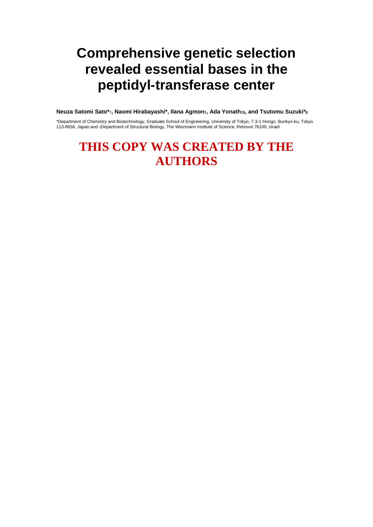# **Comprehensive genetic selection revealed essential bases in the peptidyl-transferase center**

**Neuza Satomi Sato\*†, Naomi Hirabayashi\*, Ilana Agmon‡, Ada Yonath‡§, and Tsutomu Suzuki\*§** 

\*Department of Chemistry and Biotechnology, Graduate School of Engineering, University of Tokyo, 7-3-1 Hongo, Bunkyo-ku, Tokyo 113-8656, Japan;and ‡Department of Structural Biology, The Weizmann Institute of Science, Rehovot 76100, Israel

## **THIS COPY WAS CREATED BY THE AUTHORS**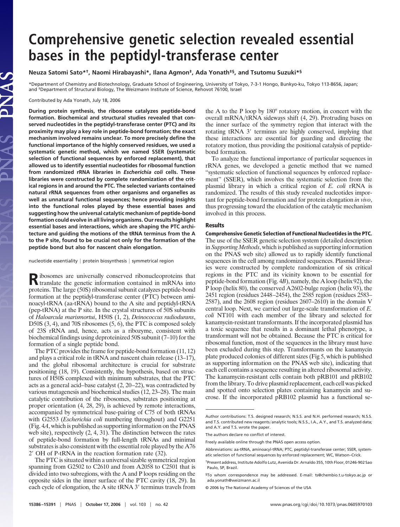## **Comprehensive genetic selection revealed essential bases in the peptidyl-transferase center**

### **Neuza Satomi Sato\*†, Naomi Hirabayashi\*, Ilana Agmon‡, Ada Yonath‡§, and Tsutomu Suzuki\*§**

\*Department of Chemistry and Biotechnology, Graduate School of Engineering, University of Tokyo, 7-3-1 Hongo, Bunkyo-ku, Tokyo 113-8656, Japan; and <sup>‡</sup>Department of Structural Biology, The Weizmann Institute of Science, Rehovot 76100, Israel

Contributed by Ada Yonath, July 18, 2006

LAS

**During protein synthesis, the ribosome catalyzes peptide-bond formation. Biochemical and structural studies revealed that conserved nucleotides in the peptidyl-transferase center (PTC) and its proximity may play a key role in peptide-bond formation; the exact mechanism involved remains unclear. To more precisely define the functional importance of the highly conserved residues, we used a systematic genetic method, which we named SSER (systematic selection of functional sequences by enforced replacement), that allowed us to identify essential nucleotides for ribosomal function from randomized rRNA libraries in** *Escherichia coli* **cells. These libraries were constructed by complete randomization of the critical regions in and around the PTC. The selected variants contained natural rRNA sequences from other organisms and organelles as well as unnatural functional sequences; hence providing insights into the functional roles played by these essential bases and suggesting how the universal catalytic mechanism of peptide-bond formation could evolve in all living organisms. Our results highlight essential bases and interactions, which are shaping the PTC architecture and guiding the motions of the tRNA terminus from the A to the P site, found to be crucial not only for the formation of the peptide bond but also for nascent chain elongation.**

nucleotide essentiality  $|$  protein biosynthesis  $|$  symmetrical region

**R**ibosomes are universally conserved ribonucleoproteins that translate the genetic information contained in mRNAs into proteins. The large (50S) ribosomal subunit catalyzes peptide-bond formation at the peptidyl-transferase center (PTC) between aminoacyl-tRNA (aa-tRNA) bound to the A site and peptidyl-tRNA (pep-tRNA) at the P site. In the crystal structures of 50S subunits of *Haloarcula marismortui*, H50S (1, 2), *Deinococcus radiodurans*, D50S (3, 4), and 70S ribosomes (5, 6), the PTC is composed solely of 23S rRNA and, hence, acts as a ribozyme, consistent with biochemical findings using deproteinized 50S subunit (7–10) for the formation of a single peptide bond.

The PTC provides the frame for peptide-bond formation (11, 12) and plays a critical role in tRNA and nascent chain release (13–17), and the global ribosomal architecture is crucial for substrate positioning (18, 19). Consistently, the hypothesis, based on structures of H50S complexed with minimum substrates, that the PTC acts as a general acid–base catalyst (2, 20–22), was contradicted by various mutagenesis and biochemical studies (12, 23–28). The main catalytic contribution of the ribosomes, substrates positioning at proper orientation (4, 28, 29), is achieved by remote interactions, accompanied by symmetrical base-pairing of C75 of both tRNAs with G2553 (*Escherichia coli* numbering throughout) and G2251 (Fig. 4*A*, which is published as supporting information on the PNAS web site), respectively (2, 4, 31). The distinction between the rates of peptide-bond formation by full-length tRNAs and minimal substrates is also consistent with the essential role played by the A76 2 OH of P-tRNA in the reaction formation rate (32).

The PTC is situated within a universal sizable symmetrical region spanning from G2502 to C2610 and from A2058 to C2501 that is divided into two subregions, with the A and P loops residing on the opposite sides in the inner surface of the PTC cavity (18, 29). In each cycle of elongation, the A site tRNA 3' terminus travels from the A to the P loop by 180° rotatory motion, in concert with the overall mRNA/tRNA sideways shift (4, 29). Protruding bases on the inner surface of the symmetry region that interact with the rotating tRNA 3' terminus are highly conserved, implying that these interactions are essential for guarding and directing the rotatory motion, thus providing the positional catalysis of peptidebond formation.

To analyze the functional importance of particular sequences in rRNA genes, we developed a genetic method that we named ''systematic selection of functional sequences by enforced replacement'' (SSER), which involves the systematic selection from the plasmid library in which a critical region of *E. coli* rRNA is randomized. The results of this study revealed nucleotides important for peptide-bond formation and for protein elongation *in vivo*, thus progressing toward the elucidation of the catalytic mechanism involved in this process.

#### **Results**

**Comprehensive Genetic Selection of Functional Nucleotides in the PTC.** The use of the SSER genetic selection system (detailed description in *Supporting Methods*, which is published as supporting information on the PNAS web site) allowed us to rapidly identify functional sequences in the cell among randomized sequences. Plasmid libraries were constructed by complete randomization of six critical regions in the PTC and its vicinity known to be essential for peptide-bond formation (Fig. 4*B*), namely, the A loop (helix 92), the P loop (helix 80), the conserved A2602-bulge region (helix 93), the 2451 region (residues 2448–2454), the 2585 region (residues 2583– 2587), and the 2608 region (residues 2607–2610) in the domain V central loop. Next, we carried out large-scale transformation of *E. coli* NT101 with each member of the library and selected for kanamycin-resistant transformants. If the incorporated plasmid has a toxic sequence that results in a dominant lethal phenotype, a transformant will not be obtained. Because the PTC is critical for ribosomal function, most of the sequences in the library must have been excluded during this step. Transformants on the kanamycin plate produced colonies of different sizes (Fig 5, which is published as supporting information on the PNAS web site), indicating that each cell contains a sequence resulting in altered ribosomal activity. The kanamycin-resistant cells contain both pRB101 and pRB102 from the library. To drive plasmid replacement, each cell was picked and spotted onto selection plates containing kanamycin and sucrose. If the incorporated pRB102 plasmid has a functional se-

Author contributions: T.S. designed research; N.S.S. and N.H. performed research; N.S.S. and T.S. contributed new reagents/analytic tools; N.S.S., I.A., A.Y., and T.S. analyzed data; and A.Y. and T.S. wrote the paper.

The authors declare no conflict of interest.

Freely available online through the PNAS open access option.

Abbreviations: aa-tRNA, aminoacyl-tRNA; PTC, peptidyl-transferase center; SSER, systematic selection of functional sequences by enforced replacement; WC, Watson–Crick.

<sup>†</sup>Present address, Institute Adolfo Lutz, Avenida Dr. Arnaldo 355, 10th Floor, 01246-902 Sao Paulo, SP, Brazil.

<sup>§</sup>To whom correspondence may be addressed. E-mail: ts@chembio.t.u-tokyo.ac.jp or ada.yonath@weizmann.ac.il

<sup>© 2006</sup> by The National Academy of Sciences of the USA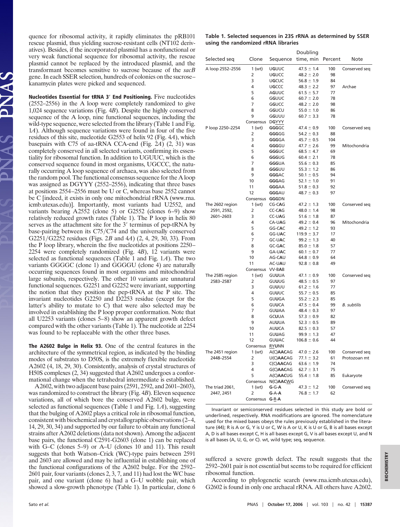quence for ribosomal activity, it rapidly eliminates the pRB101 rescue plasmid, thus yielding sucrose-resistant cells (NT102 derivatives). Besides, if the incorporated plasmid has a nonfunctional or very weak functional sequence for ribosomal activity, the rescue plasmid cannot be replaced by the introduced plasmid, and the transformant becomes sensitive to sucrose because of the *sacB* gene. In each SSER selection, hundreds of colonies on the sucrose– kanamycin plates were picked and sequenced.

**Nucleotides Essential for tRNA 3 End Positioning.** Five nucleotides (2552–2556) in the A loop were completely randomized to give 1,024 sequence variations (Fig. 4*B*). Despite the highly conserved sequence of the A loop, nine functional sequences, including the wild-type sequence, were selected from the library (Table 1 and Fig. 1*A*). Although sequence variations were found in four of the five residues of this site, nucleotide G2553 of helix 92 (Fig. 4*A*), which basepairs with C75 of aa-tRNA CCA-end (Fig. 2*A*) (2, 31) was completely conserved in all selected variants, confirming its essentiality for ribosomal function. In addition to UGUUC, which is the conserved sequence found in most organisms, UGCCC, the naturally occurring A loop sequence of archaea, was also selected from the random pool. The functional consensus sequence for the A loop was assigned as DGYYY (2552–2556), indicating that three bases at positions 2554–2556 must be U or C, whereas base 2552 cannot be C [indeed, it exists in only one mitochondrial rRNA (www.rna. icmb.utexas.edu)]. Importantly, most variants had U2552, and variants bearing A2552 (clone 5) or G2552 (clones 6–9) show relatively reduced growth rates (Table 1). The P loop in helix 80 serves as the attachment site for the 3' terminus of pep-tRNA by base-pairing between its C75/C74 and the universally conserved G2251/G2252 residues (Figs. 2*B* and 4*A*) (2, 4, 29, 30, 33). From the P loop library, wherein the five nucleotides at positions 2250– 2254 were completely randomized (Fig. 4*B*), 12 variants were selected as functional sequences (Table 1 and Fig. 1*A*). The two variants GGGGC (clone 1) and GGGGU (clone 4) are naturally occurring sequences found in most organisms and mitochondrial large subunits, respectively. The other 10 variants are unnatural functional sequences. G2251 and G2252 were invariant, supporting the notion that they position the pep-tRNA at the P site. The invariant nucleotides G2250 and D2253 residue (except for the latter's ability to mutate to C) that were also selected may be involved in establishing the P loop proper conformation. Note that all U2253 variants (clones 5–8) show an apparent growth defect compared with the other variants (Table 1). The nucleotide at 2254 was found to be replaceable with the other three bases.

**The A2602 Bulge in Helix 93.** One of the central features in the architecture of the symmetrical region, as indicated by the binding modes of substrates to D50S, is the extremely flexible nucleotide A2602 (4, 18, 29, 30). Consistently, analysis of crystal structures of H50S complexes (2, 34) suggested that A2602 undergoes a conformational change when the tetrahedral intermediate is established.

A2602, with two adjacent base pairs (2591, 2592, and 2601–2603), was randomized to construct the library (Fig. 4*B*). Eleven sequence variations, all of which bore the conserved A2602 bulge, were selected as functional sequences (Table 1 and Fig. 1*A*), suggesting that the bulging of A2602 plays a critical role in ribosomal function, consistent with biochemical and crystallographic observations (2–4, 14, 29, 30, 34) and supported by our failure to obtain any functional strains after A2602 deletions (data not shown). Among the adjacent base pairs, the functional C2591-G2603 (clone 1) can be replaced with G–C (clones 5–9) or A–U (clones 10 and 11). This result suggests that both Watson–Crick (WC)-type pairs between 2591 and 2603 are allowed and may be influential in establishing one of the functional configurations of the A2602 bulge. For the 2592– 2601 pair, four variants (clones 2, 3, 7, and 11) had lost the WC base pair, and one variant (clone 6) had a G–U wobble pair, which showed a slow-growth phenotype (Table 1). In particular, clone 6

|                                     | Table 1. Selected sequences in 23S rRNA as determined by SSER |
|-------------------------------------|---------------------------------------------------------------|
| using the randomized rRNA libraries |                                                               |

|                                |                    |                       | Doubling                         |           |                    |
|--------------------------------|--------------------|-----------------------|----------------------------------|-----------|--------------------|
| Selected seg                   | Clone              | Sequence              | time, min Percent                |           | Note               |
| A loop 2552-2556               | 1(wt)              | UGUUC                 | $47.5 \pm 1.4$                   | 100       | Conserved seg      |
|                                | 2                  | UGUCC                 | $48.2 \pm 2.0$                   | 98        |                    |
|                                | 3                  | UGCUC                 | $56.8 \pm 1.9$                   | 84        |                    |
|                                | 4                  | UGCCC                 | $48.3 \pm 2.2$                   | 97        | Archae             |
|                                | 5                  | <b>AGUUC</b>          | $61.5 \pm 5.7$                   | 77        |                    |
|                                | 6<br>7             | GGUUC<br>GGUCC        | $60.7 \pm 2.0$<br>$48.2 \pm 2.0$ | 78<br>98  |                    |
|                                | 8                  | GGUCU                 | $55.0 \pm 1.0$                   | 86        |                    |
|                                | 9                  | GGUUU                 | $60.7 \pm 3.3$                   | 78        |                    |
|                                | Consensus DGYYY    |                       |                                  |           |                    |
| P loop 2250-2254               | 1(wt)              | GGGGC                 | $47.4 \pm 0.9$                   | 100       | Conserved seq      |
|                                | 2                  | GGGGG                 | $54.2 \pm 0.3$                   | 88        |                    |
|                                | 3                  | GGGGA                 | $45.7 \pm 0.5$                   | 104       |                    |
|                                | 4                  | GGGGU                 | $47.7 \pm 2.6$                   | 99        | Mitochondria       |
|                                | 5                  | GGGUC                 | $68.5 \pm 4.7$                   | 69        |                    |
|                                | 6                  | GGGUG                 | $60.4 \pm 2.1$                   | 78        |                    |
|                                | 7                  | <b>GGGUA</b>          | $55.6 \pm 0.3$                   | 85        |                    |
|                                | 8                  | GGGUU                 | $55.3 \pm 1.2$                   | 86        |                    |
|                                | 9                  | <b>GGGAC</b>          | $50.1 \pm 0.5$                   | 94        |                    |
|                                | 10                 | GGGAG                 | $52.1 \pm 1.0$                   | 91        |                    |
|                                | 11                 | <b>GGGAA</b>          | $51.8 \pm 0.3$                   | 92        |                    |
|                                | 12                 | GGGAU                 | $48.7 \pm 0.3$                   | 97        |                    |
|                                | Consensus<br>1(wt) | GGGDN<br>CG-CAG       |                                  |           |                    |
| The 2602 region<br>2591, 2592, | 2                  | CC-CAG                | $47.2 \pm 1.3$<br>$48.0 \pm 1.4$ | 100<br>98 | Conserved seq      |
| 2601-2603                      | 3                  | <b>CC-UAG</b>         | $51.6 \pm 1.8$                   | 87        |                    |
|                                | 4                  | CA-UAG                | $49.2 \pm 0.4$                   | 96        | Mitochondria       |
|                                | 5                  | GG-CAC                | $49.2 \pm 1.2$                   | 93        |                    |
|                                | 6                  | <b>GG-UAC</b>         | $119.9 \pm 3.7$                  | 17        |                    |
|                                | 7                  | <b>GC-UAC</b>         | $99.2 \pm 1.3$                   | 40        |                    |
|                                | 8                  | GC-GAC                | $85.0 \pm 1.8$                   | 57        |                    |
|                                | 9                  | GA-UAC                | $60.1 \pm 0.7$                   | 77        |                    |
|                                | 10                 | AG-CAU                | $64.8 \pm 0.9$                   | 64        |                    |
|                                | 11                 | AC-UAU                | $92.8 \pm 0.8$                   | 49        |                    |
|                                | Consensus VV-BAB   |                       |                                  |           |                    |
| The 2585 region                | 1(wt)              | GUUUA                 | $47.1 \pm 0.9$                   | 100       | Conserved seq      |
| 2583-2587                      | 2                  | GUUUG                 | $48.5 \pm 0.5$                   | 97        |                    |
|                                | 3                  | GUUUU                 | $61.2 \pm 1.6$                   | 77        |                    |
|                                | 4                  | GUUUC                 | $55.7 \pm 0.5$                   | 85        |                    |
|                                | 5                  | <b>GUUGA</b>          | $55.2 \pm 2.3$                   | 85        |                    |
|                                | 6                  | <b>GUUCA</b>          | $47.5 \pm 0.4$                   | 99        | <b>B.</b> subtilis |
|                                | 7                  | <b>GUUAA</b>          | $48.4 \pm 0.3$<br>$57.3 \pm 0.9$ | 97        |                    |
|                                | 8<br>9             | <b>GCUUA</b><br>AUUUA | $52.3 \pm 0.5$                   | 82<br>89  |                    |
|                                | 10                 | <b>AUUCA</b>          | $82.5 \pm 0.3$                   | 57        |                    |
|                                | 11                 | <b>GUUAG</b>          | $99.9 \pm 1.3$                   | 47        |                    |
|                                | 12                 | <b>GUUAC</b>          | $106.8 \pm 0.6$                  | 44        |                    |
|                                | Consensus RYUNN    |                       |                                  |           |                    |
| The 2451 region                | 1(wt)              | A(C)AACAG             | $47.0 \pm 2.6$                   | 100       | Conserved seq      |
| 2448-2554                      | 2                  | U(C)AACAG             | $77.1 \pm 3.2$                   | 61        | Protozoan mt       |
|                                | 3                  | C(C)AACAG             | $63.6 \pm 1.9$                   | 74        |                    |
|                                | 4                  | G(C)AACAG             | $62.7 \pm 3.1$                   | 75        |                    |
|                                | 5                  | A(C)AACUG             | $55.4 \pm 1.8$                   | 85        | Eukaryote          |
|                                | Consensus          | N(C)AACWG             |                                  |           |                    |
| The triad 2061,                | 1(wt)              | $G-G-A$               | $47.3 \pm 1.2$                   | 100       | Conserved seg      |
| 2447, 2451                     | 2                  | $G-A-A$               | $76.8 \pm 1.7$                   | 62        |                    |
|                                | Consensus G-R-A    |                       |                                  |           |                    |

Invariant or semiconserved residues selected in this study are bold or underlined, respectively. RNA modifications are ignored. The nomenclature used for the mixed bases obeys the rules previously established in the literature (44); R is A or G, Y is U or C, W is A or U, K is U or G, B is all bases except A, D is all bases except C, H is all bases except G, V is all bases except U, and N is all bases (A, U, G, or C). wt, wild type; seq, sequence.

suffered a severe growth defect. The result suggests that the 2592–2601 pair is not essential but seems to be required for efficient ribosomal function.

According to phylogenetic search (www.rna.icmb.utexas.edu), G2602 is found in only one archaeal rRNA. All others have A2602.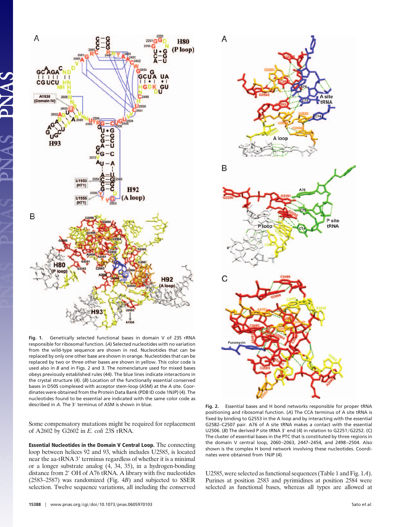

**Fig. 1.** Genetically selected functional bases in domain V of 23S rRNA responsible for ribosomal function. (*A*) Selected nucleotides with no variation from the wild-type sequence are shown in red. Nucleotides that can be replaced by only one other base are shown in orange. Nucleotides that can be replaced by two or three other bases are shown in yellow. This color code is used also in *B* and in Figs. 2 and 3. The nomenclature used for mixed bases obeys previously established rules (44). The blue lines indicate interactions in the crystal structure (4). (*B*) Location of the functionally essential conserved bases in D50S complexed with acceptor stem-loop (ASM) at the A site. Coordinates were obtained from the Protein Data Bank (PDB ID code 1NJP) (4). The nucleotides found to be essential are indicated with the same color code as described in *A*. The 3 terminus of ASM is shown in blue. **Fig. 2.** Essential bases and H bond networks responsible for proper tRNA

Some compensatory mutations might be required for replacement of A2602 by G2602 in *E. coli* 23S rRNA.

**Essential Nucleotides in the Domain V Central Loop.** The connecting loop between helices 92 and 93, which includes U2585, is located near the aa-tRNA 3' terminus regardless of whether it is a minimal or a longer substrate analog (4, 34, 35), in a hydrogen-bonding distance from 2' OH of A76 tRNA. A library with five nucleotides (2583–2587) was randomized (Fig. 4*B*) and subjected to SSER selection. Twelve sequence variations, all including the conserved



positioning and ribosomal function. (*A*) The CCA terminus of A site tRNA is fixed by binding to G2553 in the A loop and by interacting with the essential G2582–C2507 pair. A76 of A site tRNA makes a contact with the essential U2506. (B) The derived P site tRNA 3' end (4) in relation to G2251/G2252. (C) The cluster of essential bases in the PTC that is constituted by three regions in the domain V central loop, 2060–2063, 2447–2454, and 2498–2504. Also shown is the complex H bond network involving these nucleotides. Coordinates were obtained from 1NJP (4).

U2585, were selected as functional sequences (Table 1 and Fig. 1*A*). Purines at position 2583 and pyrimidines at position 2584 were selected as functional bases, whereas all types are allowed at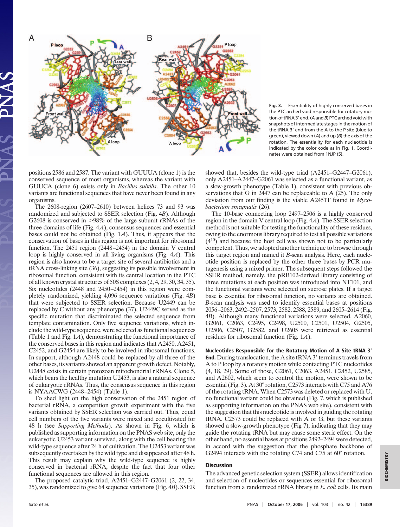

**Fig. 3.** Essentiality of highly conserved bases in the PTC arched void responsible for rotatory motion of tRNA3' end. (A and B) PTC arched void with snapshots of intermediate stages in the motion of the tRNA 3' end from the A to the P site (blue to green), viewed down (*A*) and up (*B*) the axis of the rotation. The essentiality for each nucleotide is indicated by the color code as in Fig. 1. Coordinates were obtained from 1NJP (5).

positions 2586 and 2587. The variant with GUUUA (clone 1) is the conserved sequence of most organisms, whereas the variant with GUUCA (clone 6) exists only in *Bacillus subtilis*. The other 10 variants are functional sequences that have never been found in any organisms.

The 2608-region (2607–2610) between helices 73 and 93 was randomized and subjected to SSER selection (Fig. 4*B*). Although G2608 is conserved in >98% of the large subunit rRNAs of the three domains of life (Fig. 4*A*), consensus sequences and essential bases could not be obtained (Fig. 1*A*). Thus, it appears that the conservation of bases in this region is not important for ribosomal function. The 2451 region (2448–2454) in the domain V central loop is highly conserved in all living organisms (Fig. 4*A*). This region is also known to be a target site of several antibiotics and a tRNA cross-linking site (36), suggesting its possible involvement in ribosomal function, consistent with its central location in the PTC of all known crystal structures of 50S complexes (2, 4, 29, 30, 34, 35). Six nucleotides (2448 and 2450–2454) in this region were completely randomized, yielding 4,096 sequence variations (Fig. 4*B*) that were subjected to SSER selection. Because U2449 can be replaced by C without any phenotype (37), U2449C served as the specific mutation that discriminated the selected sequence from template contamination. Only five sequence variations, which include the wild-type sequence, were selected as functional sequences (Table 1 and Fig. 1*A*), demonstrating the functional importance of the conserved bases in this region and indicates that A2450, A2451, C2452, and G2454 are likely to be involved in ribosomal functions. In support, although A2448 could be replaced by all three of the other bases, its variants showed an apparent growth defect. Notably, U2448 exists in certain protozoan mitochondrial rRNAs. Clone 5, which bears the healthy mutation U2453, is also a natural sequence of eukaryotic rRNAs. Thus, the consensus sequence in this region is NYAACWG (2448–2454) (Table 1).

To shed light on the high conservation of the 2451 region of bacterial rRNA, a competition growth experiment with the five variants obtained by SSER selection was carried out. Thus, equal cell numbers of the five variants were mixed and cocultivated for 48 h (see *Supporting Methods*). As shown in Fig. 6, which is published as supporting information on the PNAS web site, only the eukaryotic U2453 variant survived, along with the cell bearing the wild-type sequence after 24 h of cultivation. The U2453 variant was subsequently overtaken by the wild type and disappeared after 48 h. This result may explain why the wild-type sequence is highly conserved in bacterial rRNA, despite the fact that four other functional sequences are allowed in this region.

The proposed catalytic triad, A2451–G2447–G2061 (2, 22, 34, 35), was randomized to give 64 sequence variations (Fig. 4*B*). SSER showed that, besides the wild-type triad (A2451–G2447–G2061), only A2451–A2447–G2061 was selected as a functional variant, as a slow-growth phenotype (Table 1), consistent with previous observations that G in 2447 can be replaceable to A (25). The only deviation from our finding is the viable A2451T found in *Mycobacterium smegmatis* (26).

The 10-base connecting loop 2497–2506 is a highly conserved region in the domain V central loop (Fig. 4*A*). The SSER selection method is not suitable for testing the functionality of these residues, owing to the enormous library required to test all possible variations  $(4^{10})$  and because the host cell was shown not to be particularly competent. Thus, we adopted another technique to browse through this target region and named it *B*-scan analysis. Here, each nucleotide position is replaced by the other three bases by PCR mutagenesis using a mixed primer. The subsequent steps followed the SSER method, namely, the pRB102-derived library consisting of three mutations at each position was introduced into NT101, and the functional variants were selected on sucrose plates. If a target base is essential for ribosomal function, no variants are obtained. *B*-scan analysis was used to identify essential bases at positions 2056–2063, 2492–2507, 2573, 2582, 2588, 2589, and 2605–2614 (Fig. 4*B*). Although many functional variations were selected, A2060, G2061, C2063, C2495, C2498, U2500, C2501, U2504, G2505, U2506, C2507, G2582, and U2605 were retrieved as essential residues for ribosomal function (Fig. 1*A*).

#### **Nucleotides Responsible for the Rotatory Motion of A Site tRNA 3 End.** During translocation, the A site tRNA 3' terminus travels from A to P loop by a rotatory motion while contacting PTC nucleotides (4, 18, 29). Some of those, G2061, C2063, A2451, C2452, U2585, and A2602, which seem to control the motion, were shown to be essential (Fig. 3). At 30° rotation, C2573 interacts with C75 and A76 of the rotating tRNA. When C2573 was deleted or replaced with U, no functional variant could be obtained (Fig. 7, which is published as supporting information on the PNAS web site), consistent with the suggestion that this nucleotide is involved in guiding the rotating tRNA. C2573 could be replaced with A or G, but these variants showed a slow-growth phenotype (Fig 7), indicating that they may guide the rotating tRNA but may cause some steric effect. On the other hand, no essential bases at positions 2492–2494 were detected, in accord with the suggestion that the phosphate backbone of G2494 interacts with the rotating C74 and C75 at 60° rotation.

### **Discussion**

The advanced genetic selection system (SSER) allows identification and selection of nucleotides or sequences essential for ribosomal function from a randomized rRNA library in *E. coli* cells. Its main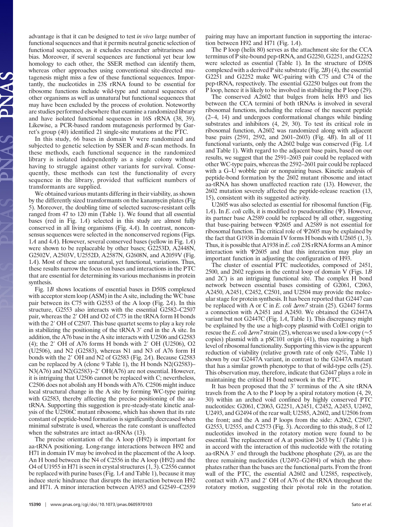advantage is that it can be designed to test *in vivo* large number of functional sequences and that it permits neutral genetic selection of functional sequences, as it excludes researcher arbitrariness and bias. Moreover, if several sequences are functional yet bear low homology to each other, the SSER method can identify them, whereas other approaches using conventional site-directed mutagenesis might miss a few of these functional sequences. Importantly, the nucleotides in 23S rRNA found to be essential for ribosome functions include wild-type and natural sequences of other organisms as well as unnatural but functional sequences that may have been excluded by the process of evolution. Noteworthy are studies performed elsewhere that examine a randomized library and have isolated functional sequences in 16S rRNA (38, 39). Likewise, a PCR-based random mutagenesis performed by Garret's group (40) identified 21 single-site mutations at the PTC.

In this study, 66 bases in domain V were randomized and subjected to genetic selection by SSER and *B*-scan methods. In these methods, each functional sequence in the randomized library is isolated independently as a single colony without having to struggle against other variants for survival. Consequently, these methods can test the functionality of every sequence in the library, provided that sufficient numbers of transformants are supplied.

We obtained various mutants differing in their viability, as shown by the differently sized transformants on the kanamycin plates (Fig 5). Moreover, the doubling time of selected sucrose-resistant cells ranged from 47 to 120 min (Table 1). We found that all essential bases (red in Fig. 1*A*) selected in this study are almost fully conserved in all living organisms (Fig. 4*A*). In contrast, nonconsensus sequences were selected in the nonconserved regions (Figs. 1*A* and 4*A*). However, several conserved bases (yellow in Fig. 1*A*) were shown to be replaceable by other bases; G2253D, A2448N, G2502V, A2503V, U2552D, A2587N, G2608N, and A2059V (Fig. 1*A*). Most of these are unnatural, yet functional, variations. Thus, these results narrow the focus on bases and interactions in the PTC that are essential for determining its various mechanisms in protein synthesis.

Fig. 1*B* shows locations of essential bases in D50S complexed with acceptor stem loop (ASM) in the A site, including the WC base pair between its C75 with G2553 of the A loop (Fig. 2*A*). In this structure, G2553 also interacts with the essential G2582–C2507 pair, whereas the 2' OH and O2 of C75 in the tRNA form H bonds with the 2' OH of C2507. This base quartet seems to play a key role in stabilizing the positioning of the  $tRNA$  3' end in the A site. In addition, the A76 base in the A site interacts with U2506 and G2583 (4); the 2' OH of A76 forms H bonds with 2' OH (U2506), O2 (U2506), and N2 (G2583), whereas N1 and N3 of A76 form H bonds with the 2' OH and N2 of G2583 (Fig. 24). Because G2583 can be replaced by A (clone 9 Table 1), the H bonds N2(G2583)– N3(A76) and N2(G2583)–2' OH(A76) are not essential. However, it is intriguing that U2506 cannot be replaced with C; nevertheless, C2506 does not abolish any H bonds with A76. C2506 might induce local structural change in the A site by forming WC-type pairing with G2583, thereby affecting the precise positioning of the aatRNA. Supporting this suggestion is pre-steady-state kinetic analysis of the U2506C mutant ribosome, which has shown that its rate constant of peptide-bond formation is significantly decreased when minimal substrate is used, whereas the rate constant is unaffected when the substrates are intact aa-tRNAs (13).

The precise orientation of the A loop (H92) is important for aa-tRNA positioning. Long-range interactions between H92 and H71 in domain IV may be involved in the placement of the A loop. An H bond between the N4 of C2556 in the A loop (H92) and the O4 of U1955 in H71 is seen in crystal structures (1, 3). C2556 cannot be replaced with purine bases (Fig. 1*A* and Table 1), because it may induce steric hindrance that disrupts the interaction between H92 and H71. A minor interaction between A1953 and G2549–C2559

**15390** | www.pnas.org/cgi/doi/10.1073/pnas.0605970103 Sato *et al.* 

pairing may have an important function in supporting the interaction between H92 and H71 (Fig. 1*A*).

The P loop (helix 80) serves as the attachment site for the CCA terminus of P site-bound pep-tRNA, and G2250, G2251, and G2252 were selected as essential (Table 1). In the structure of D50S complexed with a derived P site substrate (Fig. 2*B*) (4), the essential G2251 and G2252 make WC-pairing with C75 and C74 of the pep-tRNA, respectively. The essential G2250 bulges out from the P loop, hence it is likely to be involved in stabilizing the P loop (29).

The conserved A2602 that bulges from helix H93 and lies between the CCA termini of both tRNAs is involved in several ribosomal functions, including the release of the nascent peptide (2–4, 14) and undergoes conformational changes while binding substrates and inhibitors (4, 29, 30). To test its critical role in ribosomal function, A2602 was randomized along with adjacent base pairs (2591, 2592, and 2601–2603) (Fig. 4*B*). In all of 11 functional variants, only the A2602 bulge was conserved (Fig. 1*A* and Table 1). With regard to the adjacent base pairs, based on our results, we suggest that the 2591–2603 pair could be replaced with other WC-type pairs, whereas the 2592–2601 pair could be replaced with a G–U wobble pair or nonpairing bases. Kinetic analysis of peptide-bond formation by the 2602 mutant ribosome and intact aa-tRNA has shown unaffected reaction rate (13). However, the 2602 mutation severely affected the peptide-release reaction (13, 15), consistent with its suggested activity.

U2605 was also selected as essential for ribosomal function (Fig. 1*A*). In *E. coli* cells, it is modified to pseudouridine ( $\Psi$ ). However, its partner base A2589 could be replaced by all other, suggesting that base-pairing between  $\Psi$ 2605 and A2589 is not essential for ribosomal function. The critical role of  $\Psi$ 2605 may be explained by the fact that G1938 in domain IV forms H bonds with U2605 (1, 3). Thus, it is possible that A1938 in*E. coli* 23S rRNA forms an A minor interaction with  $\Psi$ 2605 and that this interaction may play an important function in adjusting the configuration of H93.

The cluster of essential PTC nucleotides, composed of 2451, 2500, and 2602 regions in the central loop of domain V (Figs. 1*B* and 2*C*) is an intriguing functional site. The complex H bond network between essential bases consisting of G2061, C2063, A2450, A2451, C2452, C2501, and U2504 may provide the molecular stage for protein synthesis. It has been reported that G2447 can be replaced with A or C in *E. coli*  $\Delta$ *rm* $\overline{7}$  strain (25). G2447 forms a connection with A2451 and A2450. We obtained the G2447A variant but not G2447C (Fig. 1*A*, Table 1). This discrepancy might be explained by the use a high-copy plasmid with ColE1 origin to rescue the *E. coli*  $\Delta r$ *rn* 7 strain (25), whereas we used a low-copy ( $\approx$  5 copies) plasmid with a pSC101 origin (41), thus requiring a high level of ribosomal functionality. Supporting this view is the apparent reduction of viability (relative growth rate of only 62%, Table 1) shown by our G2447A variant, in contrast to the G2447A mutant that has a similar growth phenotype to that of wild-type cells (25). This observation may, therefore, indicate that G2447 plays a role in maintaining the critical H bond network in the PTC.

It has been proposed that the  $3'$  terminus of the A site tRNA travels from the A to the P loop by a spiral rotatory motion (4, 29, 30) within an arched void confined by highly conserved PTC nucleotides: G2061, C2063, G2251, A2451, C2452, A2453, U2492, U2493, and G2494 of the rear wall; U2585, A2602, and U2506 from the front; and the A and P loops from the side: A2062, C2507, G2553, U2555, and C2573 (Fig. 3). According to this study, 8 of 12 nucleotides involved in the rotatory motion were found to be essential. The replacement of A at position 2453 by U (Table 1) is in accord with the interaction of this nucleotide with the rotating aa-tRNA 3' end through the backbone phosphate (29), as are the three remaining nucleotides (U2492–G2494) of which the phosphates rather than the bases are the functional parts. From the front wall of the PTC, the essential A2602 and U2585, respectively, contact with A73 and 2' OH of A76 of the tRNA throughout the rotatory motion, suggesting their pivotal role in the rotation.